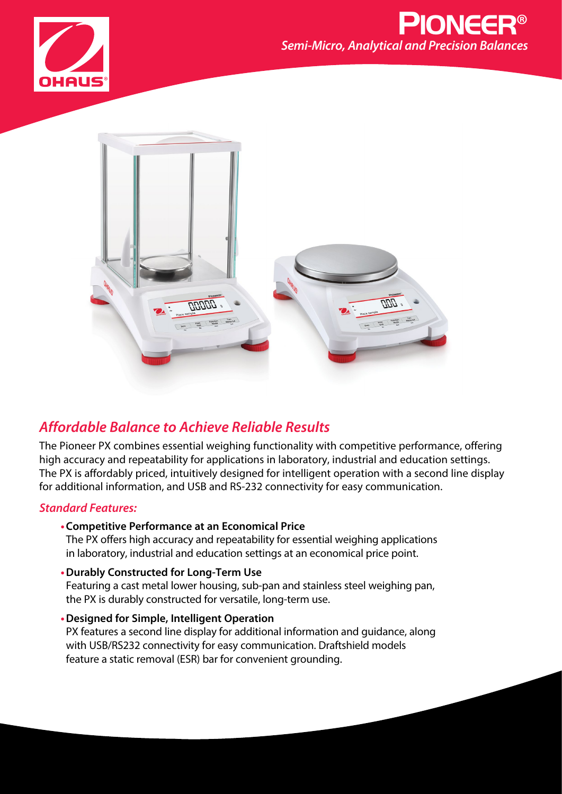



# *Affordable Balance to Achieve Reliable Results*

The Pioneer PX combines essential weighing functionality with competitive performance, offering high accuracy and repeatability for applications in laboratory, industrial and education settings. The PX is affordably priced, intuitively designed for intelligent operation with a second line display for additional information, and USB and RS-232 connectivity for easy communication.

## *Standard Features:*

**•Competitive Performance at an Economical Price**

The PX offers high accuracy and repeatability for essential weighing applications in laboratory, industrial and education settings at an economical price point.

- **•Durably Constructed for Long-Term Use** Featuring a cast metal lower housing, sub-pan and stainless steel weighing pan, the PX is durably constructed for versatile, long-term use.
- **•Designed for Simple, Intelligent Operation** PX features a second line display for additional information and guidance, along with USB/RS232 connectivity for easy communication. Draftshield models feature a static removal (ESR) bar for convenient grounding.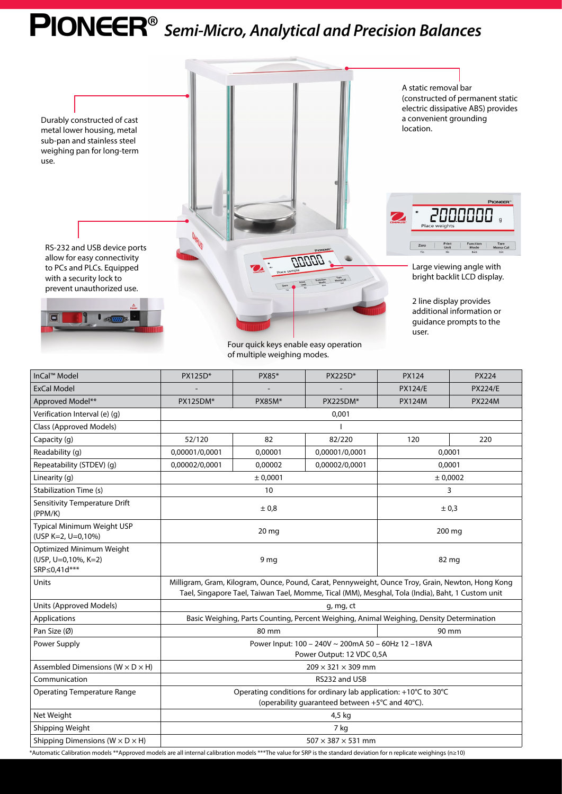# PIONEER® *Semi-Micro, Analytical and Precision Balances*



Four quick keys enable easy operation of multiple weighing modes.

| InCal™ Model                                                                                                                                                        | PX125D*                                                                                                                                                                                               | PX85*                          | PX225D*         | <b>PX124</b>   | <b>PX224</b>   |  |
|---------------------------------------------------------------------------------------------------------------------------------------------------------------------|-------------------------------------------------------------------------------------------------------------------------------------------------------------------------------------------------------|--------------------------------|-----------------|----------------|----------------|--|
| <b>ExCal Model</b>                                                                                                                                                  |                                                                                                                                                                                                       |                                |                 | <b>PX124/E</b> | <b>PX224/E</b> |  |
| Approved Model**                                                                                                                                                    | <b>PX125DM*</b>                                                                                                                                                                                       | <b>PX85M*</b>                  | <b>PX225DM*</b> | <b>PX124M</b>  | <b>PX224M</b>  |  |
| Verification Interval (e) (g)                                                                                                                                       | 0,001                                                                                                                                                                                                 |                                |                 |                |                |  |
| Class (Approved Models)                                                                                                                                             |                                                                                                                                                                                                       |                                |                 |                |                |  |
| Capacity (g)                                                                                                                                                        | 52/120                                                                                                                                                                                                | 82                             | 82/220          | 120            | 220            |  |
| Readability (q)                                                                                                                                                     | 0,00001/0,0001                                                                                                                                                                                        | 0,00001                        | 0,00001/0,0001  | 0,0001         |                |  |
| Repeatability (STDEV) (g)                                                                                                                                           | 0,00002/0,0001                                                                                                                                                                                        | 0,00002                        | 0,00002/0,0001  | 0,0001         |                |  |
| Linearity (g)                                                                                                                                                       | ± 0,0001<br>± 0,0002                                                                                                                                                                                  |                                |                 |                |                |  |
| <b>Stabilization Time (s)</b>                                                                                                                                       | 10                                                                                                                                                                                                    |                                |                 | 3              |                |  |
| Sensitivity Temperature Drift<br>(PPM/K)                                                                                                                            | ± 0,8                                                                                                                                                                                                 |                                |                 | ± 0.3          |                |  |
| Typical Minimum Weight USP<br>(USP K=2, U=0,10%)                                                                                                                    | 20 <sub>mg</sub>                                                                                                                                                                                      |                                |                 | 200 mg         |                |  |
| Optimized Minimum Weight<br>(USP, U=0,10%, K=2)<br>SRP≤0,41d***                                                                                                     | 9 <sub>mg</sub>                                                                                                                                                                                       |                                |                 | 82 mg          |                |  |
| Units                                                                                                                                                               | Milligram, Gram, Kilogram, Ounce, Pound, Carat, Pennyweight, Ounce Troy, Grain, Newton, Hong Kong<br>Tael, Singapore Tael, Taiwan Tael, Momme, Tical (MM), Mesghal, Tola (India), Baht, 1 Custom unit |                                |                 |                |                |  |
| Units (Approved Models)                                                                                                                                             | g, mg, ct                                                                                                                                                                                             |                                |                 |                |                |  |
| Applications                                                                                                                                                        | Basic Weighing, Parts Counting, Percent Weighing, Animal Weighing, Density Determination                                                                                                              |                                |                 |                |                |  |
| Pan Size (Ø)                                                                                                                                                        | 80 mm                                                                                                                                                                                                 |                                |                 | 90 mm          |                |  |
| Power Supply                                                                                                                                                        | Power Input: 100 - 240V ~ 200mA 50 - 60Hz 12 -18VA<br>Power Output: 12 VDC 0,5A                                                                                                                       |                                |                 |                |                |  |
| Assembled Dimensions ( $W \times D \times H$ )                                                                                                                      | $209 \times 321 \times 309$ mm                                                                                                                                                                        |                                |                 |                |                |  |
| Communication                                                                                                                                                       | RS232 and USB                                                                                                                                                                                         |                                |                 |                |                |  |
| <b>Operating Temperature Range</b>                                                                                                                                  | Operating conditions for ordinary lab application: +10°C to 30°C<br>(operability guaranteed between +5°C and 40°C).                                                                                   |                                |                 |                |                |  |
| Net Weight                                                                                                                                                          | 4,5 kg                                                                                                                                                                                                |                                |                 |                |                |  |
| Shipping Weight                                                                                                                                                     | 7 kg                                                                                                                                                                                                  |                                |                 |                |                |  |
| Shipping Dimensions ( $W \times D \times H$ )                                                                                                                       |                                                                                                                                                                                                       | $507 \times 387 \times 531$ mm |                 |                |                |  |
| *Automatic Calibration models **Approved models are all internal calibration models ***The value for SRP is the standard deviation for n replicate weighings (n≥10) |                                                                                                                                                                                                       |                                |                 |                |                |  |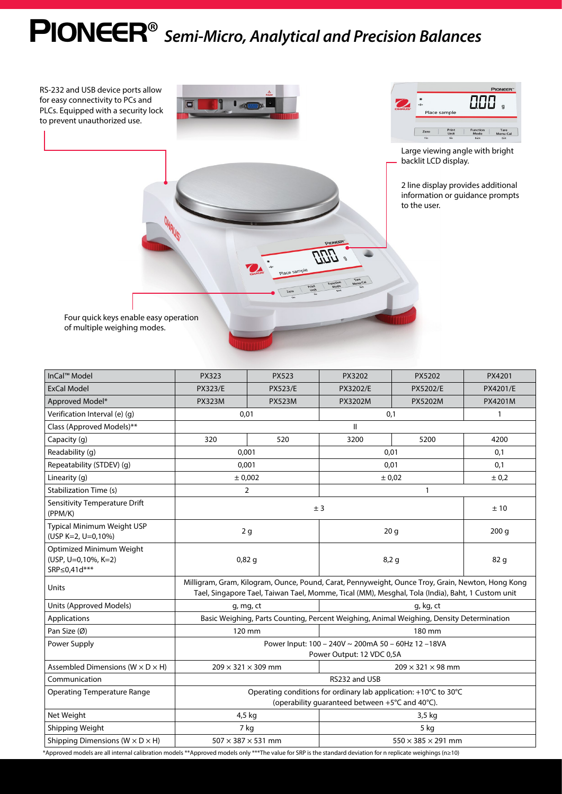# PIONEER® *Semi-Micro, Analytical and Precision Balances*

RS-232 and USB device ports allow for easy connectivity to PCs and PLCs. Equipped with a security lock to prevent unauthorized use.





Large viewing angle with bright backlit LCD display.

2 line display provides additional information or guidance prompts to the user.

Menu-Cal

Four quick keys enable easy operation of multiple weighing modes.

| InCal™ Model                                                                                                                                                | <b>PX323</b>                                                                                                                                                                                          | <b>PX523</b>                                                    | PX3202   | PX5202          | PX4201       |  |
|-------------------------------------------------------------------------------------------------------------------------------------------------------------|-------------------------------------------------------------------------------------------------------------------------------------------------------------------------------------------------------|-----------------------------------------------------------------|----------|-----------------|--------------|--|
| ExCal Model                                                                                                                                                 | <b>PX323/E</b>                                                                                                                                                                                        | <b>PX523/E</b>                                                  | PX3202/E | <b>PX5202/E</b> | PX4201/E     |  |
| Approved Model*                                                                                                                                             | <b>PX323M</b>                                                                                                                                                                                         | <b>PX523M</b>                                                   | PX3202M  | <b>PX5202M</b>  | PX4201M      |  |
| Verification Interval (e) (g)                                                                                                                               | 0,01<br>0,1                                                                                                                                                                                           |                                                                 |          |                 | $\mathbf{1}$ |  |
| Class (Approved Models)**                                                                                                                                   | II                                                                                                                                                                                                    |                                                                 |          |                 |              |  |
| Capacity (g)                                                                                                                                                | 320                                                                                                                                                                                                   | 520                                                             | 3200     | 5200            | 4200         |  |
| Readability (q)                                                                                                                                             | 0,001                                                                                                                                                                                                 |                                                                 | 0,01     | 0,1             |              |  |
| Repeatability (STDEV) (g)                                                                                                                                   | 0,001                                                                                                                                                                                                 |                                                                 | 0,01     |                 | 0,1          |  |
| Linearity (q)                                                                                                                                               | ± 0,002                                                                                                                                                                                               |                                                                 | ± 0,02   |                 | ± 0,2        |  |
| <b>Stabilization Time (s)</b>                                                                                                                               | $\overline{2}$<br>$\mathbf{1}$                                                                                                                                                                        |                                                                 |          |                 |              |  |
| <b>Sensitivity Temperature Drift</b><br>(PPM/K)                                                                                                             | ± 3<br>±10                                                                                                                                                                                            |                                                                 |          |                 |              |  |
| Typical Minimum Weight USP<br>(USP K=2, U=0,10%)                                                                                                            | 20 <sub>g</sub><br>2g                                                                                                                                                                                 |                                                                 |          | 200 g           |              |  |
| Optimized Minimum Weight<br>(USP, U=0,10%, K=2)<br>SRP≤0,41d***                                                                                             | 0,82g<br>8,2g                                                                                                                                                                                         |                                                                 |          | 82 g            |              |  |
| Units                                                                                                                                                       | Milligram, Gram, Kilogram, Ounce, Pound, Carat, Pennyweight, Ounce Troy, Grain, Newton, Hong Kong<br>Tael, Singapore Tael, Taiwan Tael, Momme, Tical (MM), Mesghal, Tola (India), Baht, 1 Custom unit |                                                                 |          |                 |              |  |
| Units (Approved Models)                                                                                                                                     | g, kg, ct<br>g, mg, ct                                                                                                                                                                                |                                                                 |          |                 |              |  |
| Applications                                                                                                                                                | Basic Weighing, Parts Counting, Percent Weighing, Animal Weighing, Density Determination                                                                                                              |                                                                 |          |                 |              |  |
| Pan Size (Ø)                                                                                                                                                | 120 mm<br>180 mm                                                                                                                                                                                      |                                                                 |          |                 |              |  |
| Power Supply                                                                                                                                                | Power Input: 100 - 240V ~ 200mA 50 - 60Hz 12 -18VA<br>Power Output: 12 VDC 0,5A                                                                                                                       |                                                                 |          |                 |              |  |
| Assembled Dimensions ( $W \times D \times H$ )                                                                                                              |                                                                                                                                                                                                       | $209 \times 321 \times 309$ mm<br>$209 \times 321 \times 98$ mm |          |                 |              |  |
| Communication                                                                                                                                               | RS232 and USB                                                                                                                                                                                         |                                                                 |          |                 |              |  |
| <b>Operating Temperature Range</b>                                                                                                                          | Operating conditions for ordinary lab application: +10°C to 30°C<br>(operability guaranteed between +5°C and 40°C).                                                                                   |                                                                 |          |                 |              |  |
| Net Weight                                                                                                                                                  | 4,5 kg<br>3,5 kg                                                                                                                                                                                      |                                                                 |          |                 |              |  |
| Shipping Weight                                                                                                                                             | 7 kg<br>5 kg                                                                                                                                                                                          |                                                                 |          |                 |              |  |
| Shipping Dimensions ( $W \times D \times H$ )                                                                                                               | $507 \times 387 \times 531$ mm<br>$550 \times 385 \times 291$ mm                                                                                                                                      |                                                                 |          |                 |              |  |
| 'Approved models are all internal calibration models **Approved models only ***The value for SRP is the standard deviation for n replicate weighings (n≥10) |                                                                                                                                                                                                       |                                                                 |          |                 |              |  |